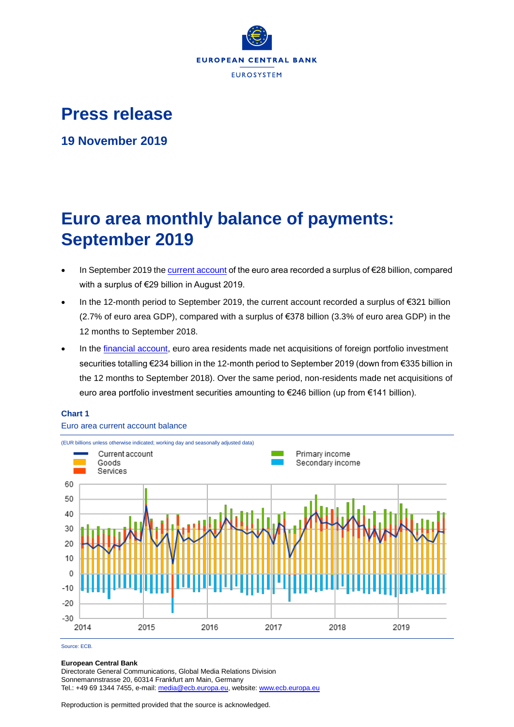

## **Press release**

**19 November 2019**

# **Euro area monthly balance of payments: September 2019**

- In September 2019 th[e current account](http://sdw.ecb.europa.eu/browseSelection.do?df=true&ec=&dc=&oc=&pb=&rc=&dataSET=0&removeItem=D&removedItemList=&mergeFilter=&activeTab=BP6&showHide=&FREQ.243=M&ADJUSTMENT.243=Y&REF_AREA.243=I8&ACCOUNTING_ENTRY.243=B&INT_ACC_ITEM.243=CA&node=9688874&legendRef=reference) of the euro area recorded a surplus of €28 billion, compared with a surplus of €29 billion in August 2019.
- In the 12-month period to September 2019, the current account recorded a surplus of €321 billion (2.7% of euro area GDP), compared with a surplus of €378 billion (3.3% of euro area GDP) in the 12 months to September 2018.
- In the [financial account,](http://sdw.ecb.europa.eu/browseSelection.do?type=series&q=BP6.M.N.I8.W1.S1.S1.T.N.FA._T.F._Z.EUR._T._X.N+BP6.M.N.I8.W1.S1.S1.T.A.FA.P.F._Z.EUR._T.M.N+BP6.M.N.I8.W1.S1.S1.T.L.FA.P.F._Z.EUR._T.M.N&node=SEARCHRESULTS&ec=&oc=&rc=&cv=&pb=&dc=&df=) euro area residents made net acquisitions of foreign portfolio investment securities totalling €234 billion in the 12-month period to September 2019 (down from €335 billion in the 12 months to September 2018). Over the same period, non-residents made net acquisitions of euro area portfolio investment securities amounting to €246 billion (up from €141 billion).

## **Chart 1**

Euro area current account balance



Source: ECB.

## **European Central Bank**

Directorate General Communications, Global Media Relations Division Sonnemannstrasse 20, 60314 Frankfurt am Main, Germany Tel.: +49 69 1344 7455, e-mail[: media@ecb.europa.eu,](mailto:media@ecb.europa.eu) website[: www.ecb.europa.eu](http://www.ecb.europa.eu/)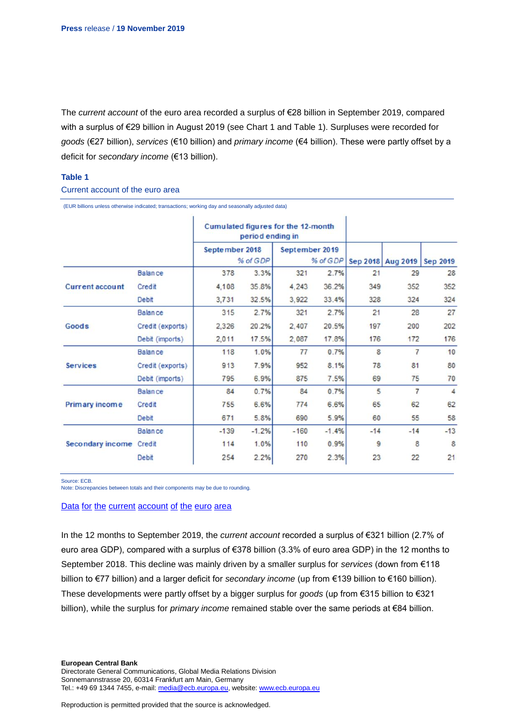The *current account* of the euro area recorded a surplus of €28 billion in September 2019, compared with a surplus of €29 billion in August 2019 (see Chart 1 and Table 1). Surpluses were recorded for *goods* (€27 billion), *services* (€10 billion) and *primary income* (€4 billion). These were partly offset by a deficit for *secondary income* (€13 billion).

## **Table 1**

#### Current account of the euro area

|                        |                  | Cumulated figures for the 12-month<br>period ending in |          |                            |         |       |                   |                 |
|------------------------|------------------|--------------------------------------------------------|----------|----------------------------|---------|-------|-------------------|-----------------|
|                        |                  | September 2018                                         | % of GDP | September 2019<br>% of GDP |         |       | Sep 2018 Aug 2019 | <b>Sep 2019</b> |
|                        | <b>Balance</b>   | 378                                                    | 3.3%     | 321                        | 2.7%    | 21    | 29                | 28              |
| <b>Current account</b> | Credit           | 4,108                                                  | 35.8%    | 4,243                      | 36.2%   | 349   | 352               | 352             |
|                        | Debit            | 3,731                                                  | 32.5%    | 3,922                      | 33.4%   | 328   | 324               | 324             |
| <b>Goods</b>           | <b>Balance</b>   | 315                                                    | 2.7%     | 321                        | 2.7%    | 21    | 28                | 27              |
|                        | Credit (exports) | 2,326                                                  | 20.2%    | 2,407                      | 20.5%   | 197   | 200               | 202             |
|                        | Debit (imports)  | 2,011                                                  | 17.5%    | 2,087                      | 17.8%   | 176   | 172               | 176             |
| <b>Services</b>        | <b>Balance</b>   | 118                                                    | 1.0%     | 77                         | 0.7%    | 8     | $\overline{7}$    | 10              |
|                        | Credit (exports) | 913                                                    | 7.9%     | 952                        | 8.1%    | 78    | 81                | 80              |
|                        | Debit (imports)  | 795                                                    | 6.9%     | 875                        | 7.5%    | 69    | 75                | 70              |
| Primary income         | <b>Balance</b>   | 84                                                     | 0.7%     | 84                         | 0.7%    | 5     | $\overline{7}$    | 4               |
|                        | Credit           | 755                                                    | 6.6%     | 774                        | 6.6%    | 65    | 62                | 62              |
|                        | Debit            | 671                                                    | 5.8%     | 690                        | 5.9%    | 60    | 55                | 58              |
| Secondary income       | <b>Balance</b>   | $-139$                                                 | $-1.2%$  | $-160$                     | $-1.4%$ | $-14$ | $-14$             | $-13$           |
|                        | Credit           | 114                                                    | 1.0%     | 110                        | 0.9%    | 9     | 8                 | 8               |
|                        | Debit            | 254                                                    | 2.2%     | 270                        | 2.3%    | 23    | 22                | 21              |

(EUR billions unless otherwise indicated; transactions; working day and seasonally adjusted data)

Source: ECB.

Note: Discrepancies between totals and their components may be due to rounding.

#### Data for the current [account](http://sdw.ecb.europa.eu/browseSelection.do?df=true&ec=&dc=&oc=&pb=&rc=&DATASET=0&removeItem=&removedItemList=&mergeFilter=&activeTab=&showHide=&FREQ.243=M&ADJUSTMENT.243=Y&REF_AREA.243=I8&ACCOUNTING_ENTRY.243=B&ACCOUNTING_ENTRY.243=C&ACCOUNTING_ENTRY.243=D&INT_ACC_ITEM.243=CA&INT_ACC_ITEM.243=G&INT_ACC_ITEM.243=IN1&INT_ACC_ITEM.243=IN2&INT_ACC_ITEM.243=S&node=9688874&legendRef=reference&legendNor=) of the euro area

In the 12 months to September 2019, the *current account* recorded a surplus of €321 billion (2.7% of euro area GDP), compared with a surplus of €378 billion (3.3% of euro area GDP) in the 12 months to September 2018. This decline was mainly driven by a smaller surplus for *services* (down from €118 billion to €77 billion) and a larger deficit for *secondary income* (up from €139 billion to €160 billion). These developments were partly offset by a bigger surplus for *goods* (up from €315 billion to €321 billion), while the surplus for *primary income* remained stable over the same periods at €84 billion.

Directorate General Communications, Global Media Relations Division Sonnemannstrasse 20, 60314 Frankfurt am Main, Germany Tel.: +49 69 1344 7455, e-mail[: media@ecb.europa.eu,](mailto:media@ecb.europa.eu) website[: www.ecb.europa.eu](http://www.ecb.europa.eu/)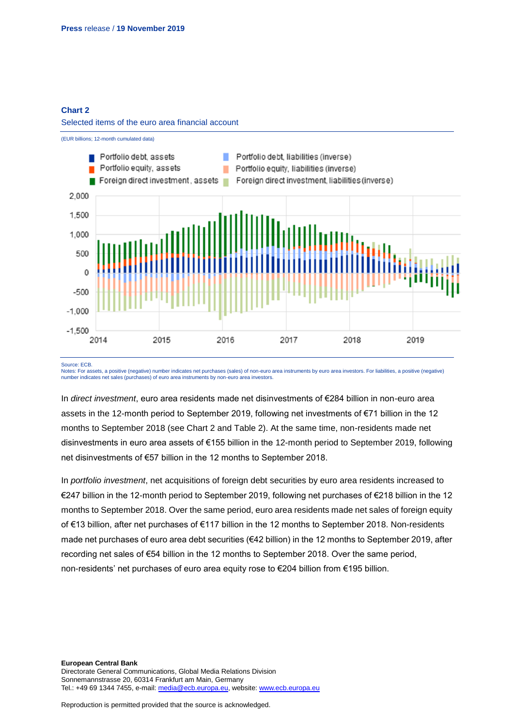## **Chart 2**

#### Selected items of the euro area financial account



Source: ECB.

Notes: For assets, a positive (negative) number indicates net purchases (sales) of non-euro area instruments by euro area investors. For liabilities, a positive (negative) number indicates net sales (purchases) of euro area instruments by non-euro area investors.

In *direct investment*, euro area residents made net disinvestments of €284 billion in non-euro area assets in the 12-month period to September 2019, following net investments of €71 billion in the 12 months to September 2018 (see Chart 2 and Table 2). At the same time, non-residents made net disinvestments in euro area assets of €155 billion in the 12-month period to September 2019, following net disinvestments of €57 billion in the 12 months to September 2018.

In *portfolio investment*, net acquisitions of foreign debt securities by euro area residents increased to €247 billion in the 12-month period to September 2019, following net purchases of €218 billion in the 12 months to September 2018. Over the same period, euro area residents made net sales of foreign equity of €13 billion, after net purchases of €117 billion in the 12 months to September 2018. Non-residents made net purchases of euro area debt securities (€42 billion) in the 12 months to September 2019, after recording net sales of €54 billion in the 12 months to September 2018. Over the same period, non-residents' net purchases of euro area equity rose to €204 billion from €195 billion.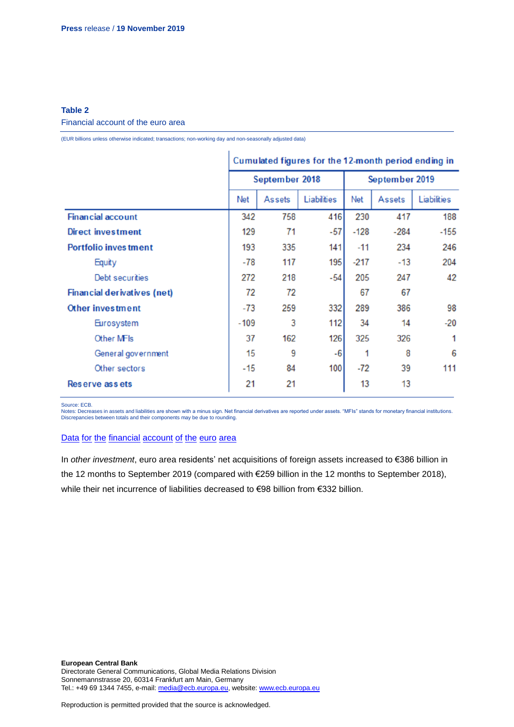## **Table 2**

#### Financial account of the euro area

(EUR billions unless otherwise indicated; transactions; non-working day and non-seasonally adjusted data)

|                                    | Cumulated figures for the 12-month period ending in |                |             |                |               |             |
|------------------------------------|-----------------------------------------------------|----------------|-------------|----------------|---------------|-------------|
|                                    |                                                     | September 2018 |             | September 2019 |               |             |
|                                    | Net                                                 | <b>Assets</b>  | Liabilities | Net            | <b>Assets</b> | Liabilities |
| <b>Financial account</b>           | 342                                                 | 758            | 416         | 230            | 417           | 188         |
| Direct investment                  | 129                                                 | 71             | $-57$       | $-128$         | $-284$        | $-155$      |
| <b>Portfolio inves tment</b>       | 193                                                 | 335            | 141         | $-11$          | 234           | 246         |
| Equity                             | $-78$                                               | 117            | 195         | $-217$         | $-13$         | 204         |
| Debt securities                    | 272                                                 | 218            | $-54$       | 205            | 247           | 42          |
| <b>Financial derivatives (net)</b> | 72                                                  | 72             |             | 67             | 67            |             |
| Other investment                   | $-73$                                               | 259            | 332         | 289            | 386           | 98          |
| Eurosystem                         | $-109$                                              | 3              | 112         | 34             | 14            | $-20$       |
| Other MFIs                         | 37                                                  | 162            | 126         | 325            | 326           | 1           |
| General government                 | 15                                                  | 9              | $-6$        | 1              | 8             | 6           |
| Other sectors                      | $-15$                                               | 84             | 100         | $-72$          | 39            | 111         |
| Reserve assets                     |                                                     | 21             |             | 13             | 13            |             |

Source: ECB.

Notes: Decreases in assets and liabilities are shown with a minus sign. Net financial derivatives are reported under assets. "MFIs" stands for monetary financial institutions. Discrepancies between totals and their components may be due to rounding.

### Data for the [financial](http://sdw.ecb.europa.eu/browseSelection.do?df=true&ec=&dc=&oc=&pb=&rc=&DATASET=0&removeItem=&removedItemList=&mergeFilter=&activeTab=&showHide=&FREQ.243=M&REF_AREA.243=I8&REF_SECTOR.243=S1&REF_SECTOR.243=S121&REF_SECTOR.243=S12T&REF_SECTOR.243=S13&REF_SECTOR.243=S1P&COUNTERPART_SECTOR.243=S1&FLOW_STOCK_ENTRY.243=T&ACCOUNTING_ENTRY.243=A&ACCOUNTING_ENTRY.243=L&ACCOUNTING_ENTRY.243=N&FUNCTIONAL_CAT.243=D&FUNCTIONAL_CAT.243=O&FUNCTIONAL_CAT.243=P&FUNCTIONAL_CAT.243=R&INSTR_ASSET.243=F&INSTR_ASSET.243=F3&INSTR_ASSET.243=F5&INSTR_ASSET.243=FL&MATURITY.243=T&MATURITY.243=_Z&node=9688874&legendRef=reference&legendNor=) account of the euro area

In *other investment*, euro area residents' net acquisitions of foreign assets increased to €386 billion in the 12 months to September 2019 (compared with €259 billion in the 12 months to September 2018), while their net incurrence of liabilities decreased to €98 billion from €332 billion.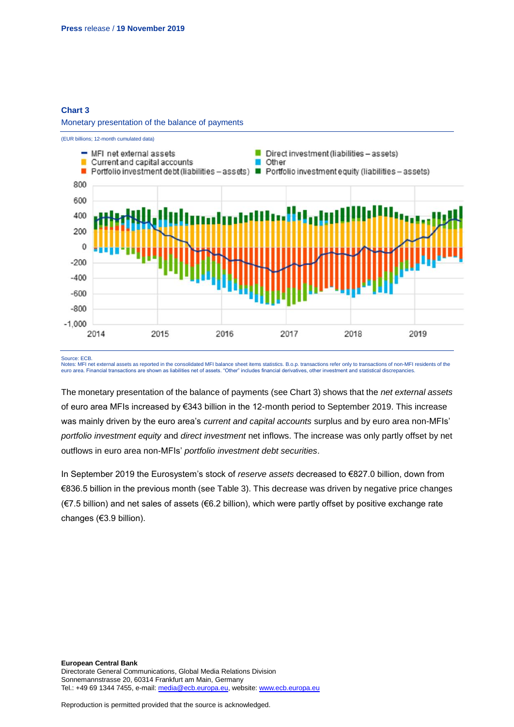## **Chart 3**

#### Monetary presentation of the balance of payments



Source: ECB.

Notes: MFI net external assets as reported in the consolidated MFI balance sheet items statistics. B.o.p. transactions refer only to transactions of non-MFI residents of the euro area. Financial transactions are shown as liabilities net of assets. "Other" includes financial derivatives, other investment and statistical discrepancies.

The monetary presentation of the balance of payments (see Chart 3) shows that the *net external assets* of euro area MFIs increased by €343 billion in the 12-month period to September 2019. This increase was mainly driven by the euro area's *current and capital accounts* surplus and by euro area non-MFIs' *portfolio investment equity* and *direct investment* net inflows. The increase was only partly offset by net outflows in euro area non-MFIs' *portfolio investment debt securities*.

In September 2019 the Eurosystem's stock of *reserve assets* decreased to €827.0 billion, down from €836.5 billion in the previous month (see Table 3). This decrease was driven by negative price changes (€7.5 billion) and net sales of assets (€6.2 billion), which were partly offset by positive exchange rate changes (€3.9 billion).